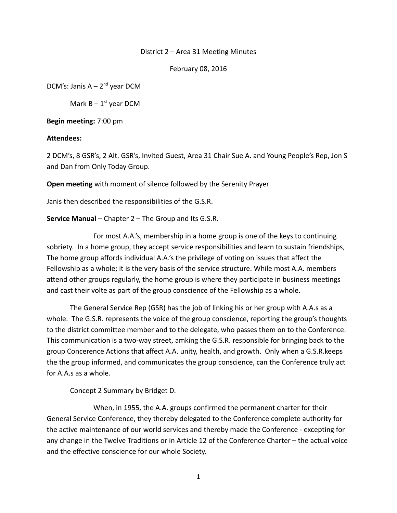#### District 2 – Area 31 Meeting Minutes

February 08, 2016

DCM's: Janis  $A - 2^{nd}$  year DCM

Mark  $B - 1<sup>st</sup>$  year DCM

**Begin meeting:** 7:00 pm

#### **Attendees:**

2 DCM's, 8 GSR's, 2 Alt. GSR's, Invited Guest, Area 31 Chair Sue A. and Young People's Rep, Jon S and Dan from Only Today Group.

**Open meeting** with moment of silence followed by the Serenity Prayer

Janis then described the responsibilities of the G.S.R.

**Service Manual** – Chapter 2 – The Group and Its G.S.R.

For most A.A.'s, membership in a home group is one of the keys to continuing sobriety. In a home group, they accept service responsibilities and learn to sustain friendships, The home group affords individual A.A.'s the privilege of voting on issues that affect the Fellowship as a whole; it is the very basis of the service structure. While most A.A. members attend other groups regularly, the home group is where they participate in business meetings and cast their volte as part of the group conscience of the Fellowship as a whole.

The General Service Rep (GSR) has the job of linking his or her group with A.A.s as a whole. The G.S.R. represents the voice of the group conscience, reporting the group's thoughts to the district committee member and to the delegate, who passes them on to the Conference. This communication is a two-way street, amking the G.S.R. responsible for bringing back to the group Concerence Actions that affect A.A. unity, health, and growth. Only when a G.S.R.keeps the the group informed, and communicates the group conscience, can the Conference truly act for A.A.s as a whole.

Concept 2 Summary by Bridget D.

When, in 1955, the A.A. groups confirmed the permanent charter for their General Service Conference, they thereby delegated to the Conference complete authority for the active maintenance of our world services and thereby made the Conference - excepting for any change in the Twelve Traditions or in Article 12 of the Conference Charter – the actual voice and the effective conscience for our whole Society.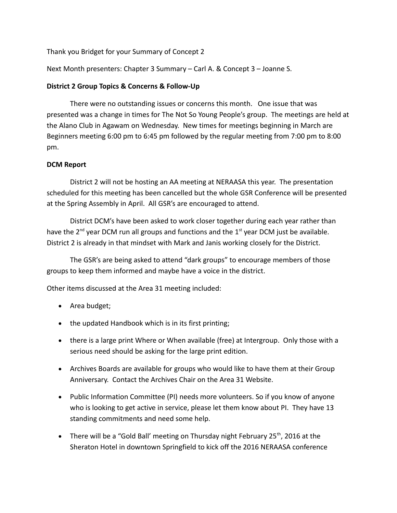Thank you Bridget for your Summary of Concept 2

Next Month presenters: Chapter 3 Summary – Carl A. & Concept 3 – Joanne S.

## **District 2 Group Topics & Concerns & Follow-Up**

There were no outstanding issues or concerns this month. One issue that was presented was a change in times for The Not So Young People's group. The meetings are held at the Alano Club in Agawam on Wednesday. New times for meetings beginning in March are Beginners meeting 6:00 pm to 6:45 pm followed by the regular meeting from 7:00 pm to 8:00 pm.

# **DCM Report**

District 2 will not be hosting an AA meeting at NERAASA this year. The presentation scheduled for this meeting has been cancelled but the whole GSR Conference will be presented at the Spring Assembly in April. All GSR's are encouraged to attend.

District DCM's have been asked to work closer together during each year rather than have the  $2^{nd}$  year DCM run all groups and functions and the  $1<sup>st</sup>$  year DCM just be available. District 2 is already in that mindset with Mark and Janis working closely for the District.

The GSR's are being asked to attend "dark groups" to encourage members of those groups to keep them informed and maybe have a voice in the district.

Other items discussed at the Area 31 meeting included:

- Area budget;
- the updated Handbook which is in its first printing;
- there is a large print Where or When available (free) at Intergroup. Only those with a serious need should be asking for the large print edition.
- Archives Boards are available for groups who would like to have them at their Group Anniversary. Contact the Archives Chair on the Area 31 Website.
- Public Information Committee (PI) needs more volunteers. So if you know of anyone who is looking to get active in service, please let them know about PI. They have 13 standing commitments and need some help.
- There will be a "Gold Ball' meeting on Thursday night February 25<sup>th</sup>, 2016 at the Sheraton Hotel in downtown Springfield to kick off the 2016 NERAASA conference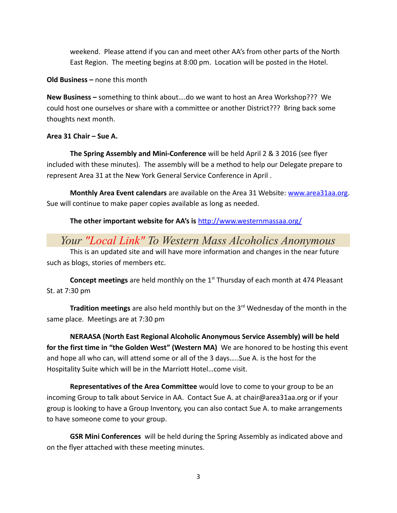weekend. Please attend if you can and meet other AA's from other parts of the North East Region. The meeting begins at 8:00 pm. Location will be posted in the Hotel.

**Old Business –** none this month

**New Business –** something to think about….do we want to host an Area Workshop??? We could host one ourselves or share with a committee or another District??? Bring back some thoughts next month.

# **Area 31 Chair – Sue A.**

**The Spring Assembly and Mini-Conference** will be held April 2 & 3 2016 (see flyer included with these minutes). The assembly will be a method to help our Delegate prepare to represent Area 31 at the New York General Service Conference in April .

**Monthly Area Event calendars** are available on the Area 31 Website: [www.area31aa.org.](http://www.area31aa.org/) Sue will continue to make paper copies available as long as needed.

**The other important website for AA's is** <http://www.westernmassaa.org/>

# *Your "Local Link" To Western Mass Alcoholics Anonymous*

This is an updated site and will have more information and changes in the near future such as blogs, stories of members etc.

**Concept meetings** are held monthly on the 1<sup>st</sup> Thursday of each month at 474 Pleasant St. at 7:30 pm

**Tradition meetings** are also held monthly but on the 3<sup>rd</sup> Wednesday of the month in the same place. Meetings are at 7:30 pm

**NERAASA (North East Regional Alcoholic Anonymous Service Assembly) will be held for the first time in "the Golden West" (Western MA)** We are honored to be hosting this event and hope all who can, will attend some or all of the 3 days…..Sue A. is the host for the Hospitality Suite which will be in the Marriott Hotel…come visit.

**Representatives of the Area Committee** would love to come to your group to be an incoming Group to talk about Service in AA. Contact Sue A. at chair@area31aa.org or if your group is looking to have a Group Inventory, you can also contact Sue A. to make arrangements to have someone come to your group.

**GSR Mini Conferences** will be held during the Spring Assembly as indicated above and on the flyer attached with these meeting minutes.